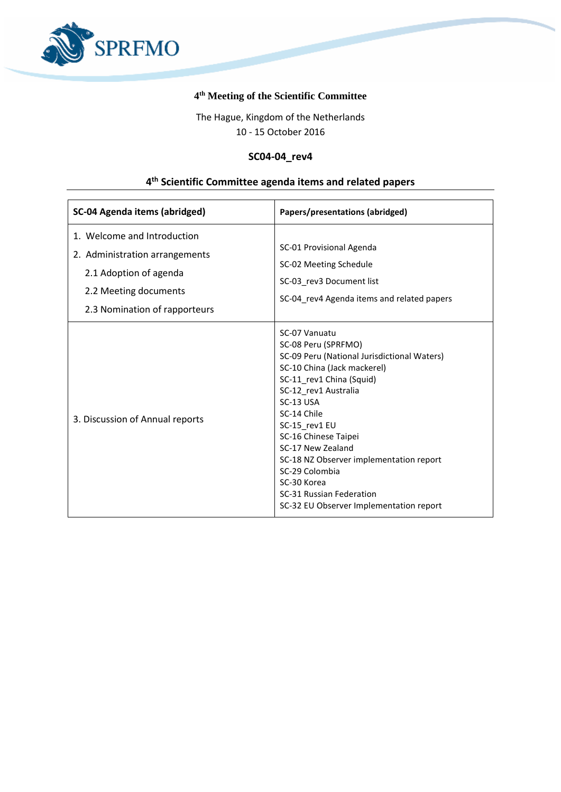

## **4 th Meeting of the Scientific Committee**

The Hague, Kingdom of the Netherlands 10 - 15 October 2016

## **SC04-04\_rev4**

## **4 th Scientific Committee agenda items and related papers**

| <b>SC-04 Agenda items (abridged)</b>                                                                                                              | Papers/presentations (abridged)                                                                                                                                                                                                                                                                                                                                                                                     |
|---------------------------------------------------------------------------------------------------------------------------------------------------|---------------------------------------------------------------------------------------------------------------------------------------------------------------------------------------------------------------------------------------------------------------------------------------------------------------------------------------------------------------------------------------------------------------------|
| 1. Welcome and Introduction<br>2. Administration arrangements<br>2.1 Adoption of agenda<br>2.2 Meeting documents<br>2.3 Nomination of rapporteurs | SC-01 Provisional Agenda<br>SC-02 Meeting Schedule<br>SC-03 rev3 Document list<br>SC-04_rev4 Agenda items and related papers                                                                                                                                                                                                                                                                                        |
| 3. Discussion of Annual reports                                                                                                                   | SC-07 Vanuatu<br>SC-08 Peru (SPRFMO)<br>SC-09 Peru (National Jurisdictional Waters)<br>SC-10 China (Jack mackerel)<br>SC-11_rev1 China (Squid)<br>SC-12 rev1 Australia<br>SC-13 USA<br>SC-14 Chile<br>SC-15 rev1 EU<br>SC-16 Chinese Taipei<br>SC-17 New Zealand<br>SC-18 NZ Observer implementation report<br>SC-29 Colombia<br>SC-30 Korea<br>SC-31 Russian Federation<br>SC-32 EU Observer Implementation report |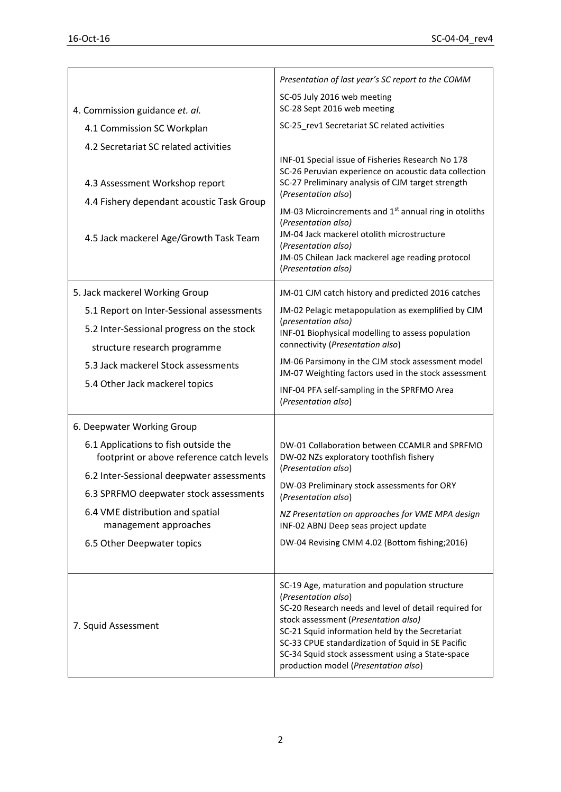|                                                                                                                        | Presentation of last year's SC report to the COMM                                                                                                                                                                                                                                                                                                                                                                                  |
|------------------------------------------------------------------------------------------------------------------------|------------------------------------------------------------------------------------------------------------------------------------------------------------------------------------------------------------------------------------------------------------------------------------------------------------------------------------------------------------------------------------------------------------------------------------|
| 4. Commission guidance et. al.                                                                                         | SC-05 July 2016 web meeting<br>SC-28 Sept 2016 web meeting                                                                                                                                                                                                                                                                                                                                                                         |
| 4.1 Commission SC Workplan                                                                                             | SC-25_rev1 Secretariat SC related activities                                                                                                                                                                                                                                                                                                                                                                                       |
| 4.2 Secretariat SC related activities                                                                                  |                                                                                                                                                                                                                                                                                                                                                                                                                                    |
| 4.3 Assessment Workshop report<br>4.4 Fishery dependant acoustic Task Group<br>4.5 Jack mackerel Age/Growth Task Team  | INF-01 Special issue of Fisheries Research No 178<br>SC-26 Peruvian experience on acoustic data collection<br>SC-27 Preliminary analysis of CJM target strength<br>(Presentation also)<br>JM-03 Microincrements and 1 <sup>st</sup> annual ring in otoliths<br>(Presentation also)<br>JM-04 Jack mackerel otolith microstructure<br>(Presentation also)<br>JM-05 Chilean Jack mackerel age reading protocol<br>(Presentation also) |
| 5. Jack mackerel Working Group                                                                                         | JM-01 CJM catch history and predicted 2016 catches                                                                                                                                                                                                                                                                                                                                                                                 |
| 5.1 Report on Inter-Sessional assessments<br>5.2 Inter-Sessional progress on the stock<br>structure research programme | JM-02 Pelagic metapopulation as exemplified by CJM<br>(presentation also)<br>INF-01 Biophysical modelling to assess population<br>connectivity (Presentation also)                                                                                                                                                                                                                                                                 |
| 5.3 Jack mackerel Stock assessments                                                                                    | JM-06 Parsimony in the CJM stock assessment model<br>JM-07 Weighting factors used in the stock assessment                                                                                                                                                                                                                                                                                                                          |
| 5.4 Other Jack mackerel topics                                                                                         | INF-04 PFA self-sampling in the SPRFMO Area<br>(Presentation also)                                                                                                                                                                                                                                                                                                                                                                 |
| 6. Deepwater Working Group                                                                                             |                                                                                                                                                                                                                                                                                                                                                                                                                                    |
| 6.1 Applications to fish outside the<br>footprint or above reference catch levels                                      | DW-01 Collaboration between CCAMLR and SPRFMO<br>DW-02 NZs exploratory toothfish fishery                                                                                                                                                                                                                                                                                                                                           |
| 6.2 Inter-Sessional deepwater assessments                                                                              | (Presentation also)<br>DW-03 Preliminary stock assessments for ORY<br>(Presentation also)                                                                                                                                                                                                                                                                                                                                          |
| 6.3 SPRFMO deepwater stock assessments                                                                                 |                                                                                                                                                                                                                                                                                                                                                                                                                                    |
| 6.4 VME distribution and spatial<br>management approaches                                                              | NZ Presentation on approaches for VME MPA design<br>INF-02 ABNJ Deep seas project update                                                                                                                                                                                                                                                                                                                                           |
| 6.5 Other Deepwater topics                                                                                             | DW-04 Revising CMM 4.02 (Bottom fishing; 2016)                                                                                                                                                                                                                                                                                                                                                                                     |
| 7. Squid Assessment                                                                                                    | SC-19 Age, maturation and population structure<br>(Presentation also)<br>SC-20 Research needs and level of detail required for<br>stock assessment (Presentation also)<br>SC-21 Squid information held by the Secretariat<br>SC-33 CPUE standardization of Squid in SE Pacific<br>SC-34 Squid stock assessment using a State-space<br>production model (Presentation also)                                                         |